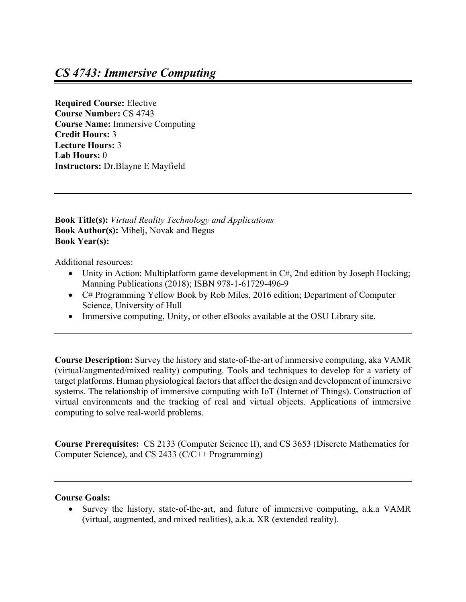**Required Course:** Elective **Course Number:** CS 4743 **Course Name:** Immersive Computing **Credit Hours:** 3 **Lecture Hours:** 3 **Lab Hours:** 0 **Instructors:** Dr.Blayne E Mayfield

**Book Title(s):** *Virtual Reality Technology and Applications*  **Book Author(s):** Mihelj, Novak and Begus **Book Year(s):**

Additional resources:

- Unity in Action: Multiplatform game development in C#, 2nd edition by Joseph Hocking; Manning Publications (2018); ISBN 978-1-61729-496-9
- C# Programming Yellow Book by Rob Miles, 2016 edition; Department of Computer Science, University of Hull
- Immersive computing, Unity, or other eBooks available at the OSU Library site.

**Course Description:** Survey the history and state-of-the-art of immersive computing, aka VAMR (virtual/augmented/mixed reality) computing. Tools and techniques to develop for a variety of target platforms. Human physiological factors that affect the design and development of immersive systems. The relationship of immersive computing with IoT (Internet of Things). Construction of virtual environments and the tracking of real and virtual objects. Applications of immersive computing to solve real-world problems.

**Course Prerequisites:** CS 2133 (Computer Science II), and CS 3653 (Discrete Mathematics for Computer Science), and CS 2433 (C/C++ Programming)

## **Course Goals:**

• Survey the history, state-of-the-art, and future of immersive computing, a.k.a VAMR (virtual, augmented, and mixed realities), a.k.a. XR (extended reality).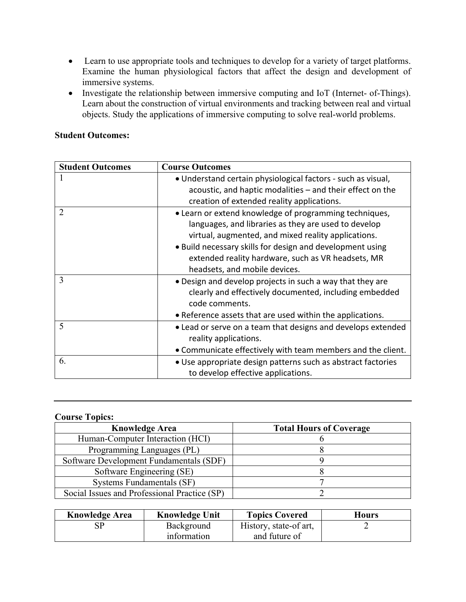- Learn to use appropriate tools and techniques to develop for a variety of target platforms. Examine the human physiological factors that affect the design and development of immersive systems.
- Investigate the relationship between immersive computing and IoT (Internet- of-Things). Learn about the construction of virtual environments and tracking between real and virtual objects. Study the applications of immersive computing to solve real-world problems.

## **Student Outcomes:**

| <b>Student Outcomes</b> | <b>Course Outcomes</b>                                                                                         |  |  |  |
|-------------------------|----------------------------------------------------------------------------------------------------------------|--|--|--|
|                         | • Understand certain physiological factors - such as visual,                                                   |  |  |  |
|                         | acoustic, and haptic modalities – and their effect on the                                                      |  |  |  |
|                         | creation of extended reality applications.                                                                     |  |  |  |
| $\overline{2}$          | • Learn or extend knowledge of programming techniques,<br>languages, and libraries as they are used to develop |  |  |  |
|                         | virtual, augmented, and mixed reality applications.                                                            |  |  |  |
|                         | • Build necessary skills for design and development using                                                      |  |  |  |
|                         | extended reality hardware, such as VR headsets, MR                                                             |  |  |  |
|                         | headsets, and mobile devices.                                                                                  |  |  |  |
| 3                       | • Design and develop projects in such a way that they are                                                      |  |  |  |
|                         | clearly and effectively documented, including embedded                                                         |  |  |  |
|                         | code comments.                                                                                                 |  |  |  |
|                         | • Reference assets that are used within the applications.                                                      |  |  |  |
| 5                       | • Lead or serve on a team that designs and develops extended                                                   |  |  |  |
|                         | reality applications.                                                                                          |  |  |  |
|                         | • Communicate effectively with team members and the client.                                                    |  |  |  |
| 6.                      | · Use appropriate design patterns such as abstract factories                                                   |  |  |  |
|                         | to develop effective applications.                                                                             |  |  |  |

## **Course Topics:**

| <b>Knowledge Area</b>                        | <b>Total Hours of Coverage</b> |  |
|----------------------------------------------|--------------------------------|--|
| Human-Computer Interaction (HCI)             |                                |  |
| Programming Languages (PL)                   |                                |  |
| Software Development Fundamentals (SDF)      |                                |  |
| Software Engineering (SE)                    |                                |  |
| Systems Fundamentals (SF)                    |                                |  |
| Social Issues and Professional Practice (SP) |                                |  |

| <b>Knowledge Area</b> | <b>Knowledge Unit</b> | <b>Topics Covered</b>  | <b>Hours</b> |
|-----------------------|-----------------------|------------------------|--------------|
|                       | Background            | History, state-of art, |              |
|                       | information           | and future of          |              |